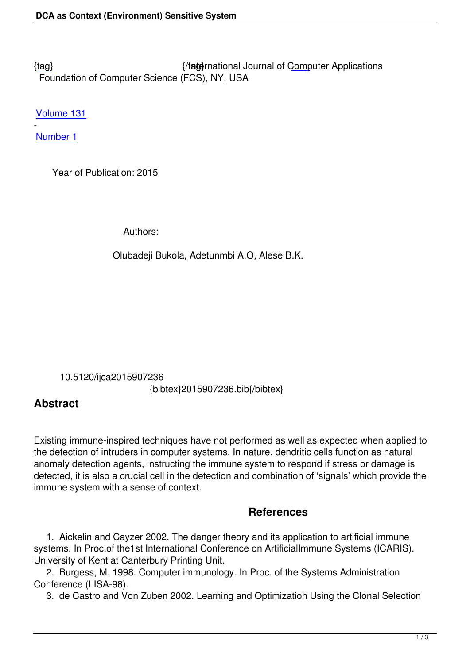{tag} International Journal of Computer Applications Foundation of Computer Science (FCS), NY, USA

[Volu](/research/volume131/number1/bukola-2015-ijca-907236.pdf)me 131

- Number 1

 [Year o](/archives/volume131/number1)f Publication: 2015

Authors:

Olubadeji Bukola, Adetunmbi A.O, Alese B.K.

 10.5120/ijca2015907236 {bibtex}2015907236.bib{/bibtex}

## **Abstract**

Existing immune-inspired techniques have not performed as well as expected when applied to the detection of intruders in computer systems. In nature, dendritic cells function as natural anomaly detection agents, instructing the immune system to respond if stress or damage is detected, it is also a crucial cell in the detection and combination of 'signals' which provide the immune system with a sense of context.

## **References**

 1. Aickelin and Cayzer 2002. The danger theory and its application to artificial immune systems. In Proc.of the1st International Conference on ArtificialImmune Systems (ICARIS). University of Kent at Canterbury Printing Unit.

 2. Burgess, M. 1998. Computer immunology. In Proc. of the Systems Administration Conference (LISA-98).

3. de Castro and Von Zuben 2002. Learning and Optimization Using the Clonal Selection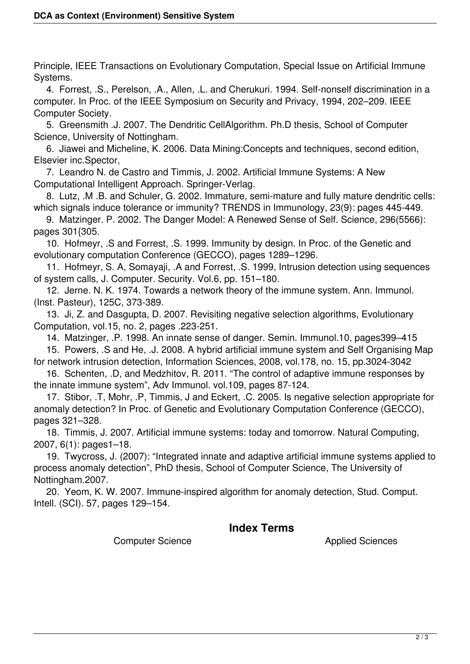Principle, IEEE Transactions on Evolutionary Computation, Special Issue on Artificial Immune Systems.

 4. Forrest, .S., Perelson, .A., Allen, .L. and Cherukuri. 1994. Self-nonself discrimination in a computer. In Proc. of the IEEE Symposium on Security and Privacy, 1994, 202–209. IEEE Computer Society.

 5. Greensmith .J. 2007. The Dendritic CellAlgorithm. Ph.D thesis, School of Computer Science, University of Nottingham.

 6. Jiawei and Micheline, K. 2006. Data Mining:Concepts and techniques, second edition, Elsevier inc.Spector,

 7. Leandro N. de Castro and Timmis, J. 2002. Artificial Immune Systems: A New Computational Intelligent Approach. Springer-Verlag.

 8. Lutz, .M .B. and Schuler, G. 2002. Immature, semi-mature and fully mature dendritic cells: which signals induce tolerance or immunity? TRENDS in Immunology, 23(9): pages 445-449.

 9. Matzinger. P. 2002. The Danger Model: A Renewed Sense of Self. Science, 296(5566): pages 301{305.

 10. Hofmeyr, .S and Forrest, .S. 1999. Immunity by design. In Proc. of the Genetic and evolutionary computation Conference (GECCO), pages 1289–1296.

 11. Hofmeyr, S. A, Somayaji, .A and Forrest, .S. 1999, Intrusion detection using sequences of system calls, J. Computer. Security. Vol.6, pp. 151–180.

 12. Jerne. N. K. 1974. Towards a network theory of the immune system. Ann. Immunol. (Inst. Pasteur), 125C, 373-389.

 13. Ji, Z. and Dasgupta, D. 2007. Revisiting negative selection algorithms, Evolutionary Computation, vol.15, no. 2, pages .223-251.

14. Matzinger, .P. 1998. An innate sense of danger. Semin. Immunol.10, pages399–415

 15. Powers, .S and He, .J. 2008. A hybrid artificial immune system and Self Organising Map for network intrusion detection, Information Sciences, 2008, vol.178, no. 15, pp.3024-3042

 16. Schenten, .D, and Medzhitov, R. 2011. "The control of adaptive immune responses by the innate immune system", Adv Immunol. vol.109, pages 87-124.

 17. Stibor, .T, Mohr, .P, Timmis, J and Eckert, .C. 2005. Is negative selection appropriate for anomaly detection? In Proc. of Genetic and Evolutionary Computation Conference (GECCO), pages 321–328.

 18. Timmis, J. 2007. Artificial immune systems: today and tomorrow. Natural Computing, 2007, 6(1): pages1–18.

 19. Twycross, J. (2007): "Integrated innate and adaptive artificial immune systems applied to process anomaly detection", PhD thesis, School of Computer Science, The University of Nottingham.2007.

 20. Yeom, K. W. 2007. Immune-inspired algorithm for anomaly detection, Stud. Comput. Intell. (SCI). 57, pages 129–154.

## **Index Terms**

Computer Science **Applied Sciences**